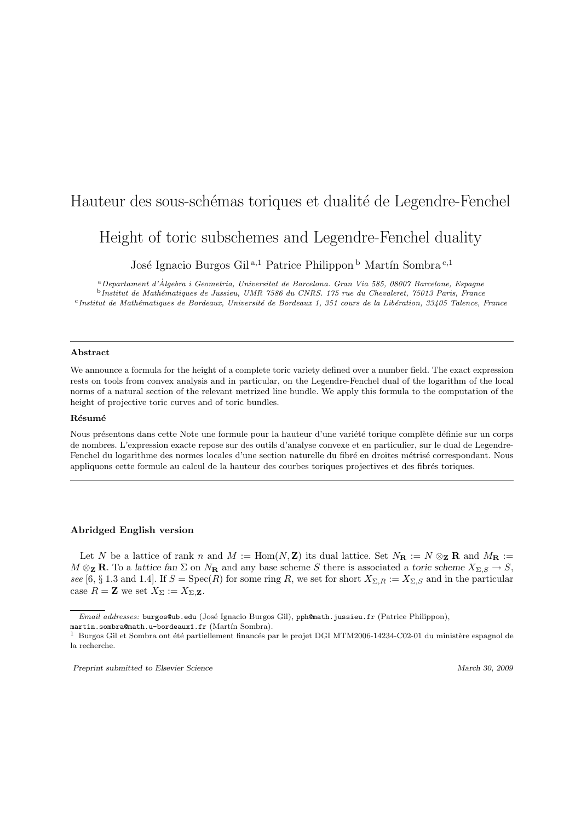# Hauteur des sous-schémas toriques et dualité de Legendre-Fenchel

# Height of toric subschemes and Legendre-Fenchel duality

José Ignacio Burgos Gil<sup>a,1</sup> Patrice Philippon<sup>b</sup> Martín Sombra<sup>c,1</sup>

<sup>a</sup>Departament d'Algebra i Geometria, Universitat de Barcelona. Gran Via 585, 08007 Barcelone, Espagne ` <sup>b</sup>Institut de Math´ematiques de Jussieu, UMR 7586 du CNRS. 175 rue du Chevaleret, 75013 Paris, France <sup>c</sup>Institut de Mathématiques de Bordeaux, Université de Bordeaux 1, 351 cours de la Libération, 33405 Talence, France

#### Abstract

We announce a formula for the height of a complete toric variety defined over a number field. The exact expression rests on tools from convex analysis and in particular, on the Legendre-Fenchel dual of the logarithm of the local norms of a natural section of the relevant metrized line bundle. We apply this formula to the computation of the height of projective toric curves and of toric bundles.

### Résumé

Nous présentons dans cette Note une formule pour la hauteur d'une variété torique complète définie sur un corps de nombres. L'expression exacte repose sur des outils d'analyse convexe et en particulier, sur le dual de Legendre-Fenchel du logarithme des normes locales d'une section naturelle du fibré en droites métrisé correspondant. Nous appliquons cette formule au calcul de la hauteur des courbes toriques projectives et des fibrés toriques.

## Abridged English version

Let N be a lattice of rank n and  $M := \text{Hom}(N, \mathbb{Z})$  its dual lattice. Set  $N_{\mathbb{R}} := N \otimes_{\mathbb{Z}} \mathbb{R}$  and  $M_{\mathbb{R}} :=$  $M \otimes_{\mathbf{Z}} \mathbf{R}$ . To a lattice fan  $\Sigma$  on  $N_{\mathbf{R}}$  and any base scheme S there is associated a toric scheme  $X_{\Sigma,S} \to S$ , see [6, § 1.3 and 1.4]. If  $S = \operatorname{Spec}(R)$  for some ring R, we set for short  $X_{\Sigma,R} := X_{\Sigma,S}$  and in the particular case  $R = \mathbf{Z}$  we set  $X_{\Sigma} := X_{\Sigma, \mathbf{Z}}$ .

Email addresses: burgos@ub.edu (José Ignacio Burgos Gil), pph@math.jussieu.fr (Patrice Philippon),

martin.sombra@math.u-bordeaux1.fr (Martín Sombra).

<sup>&</sup>lt;sup>1</sup> Burgos Gil et Sombra ont été partiellement financés par le projet DGI MTM2006-14234-C02-01 du ministère espagnol de la recherche.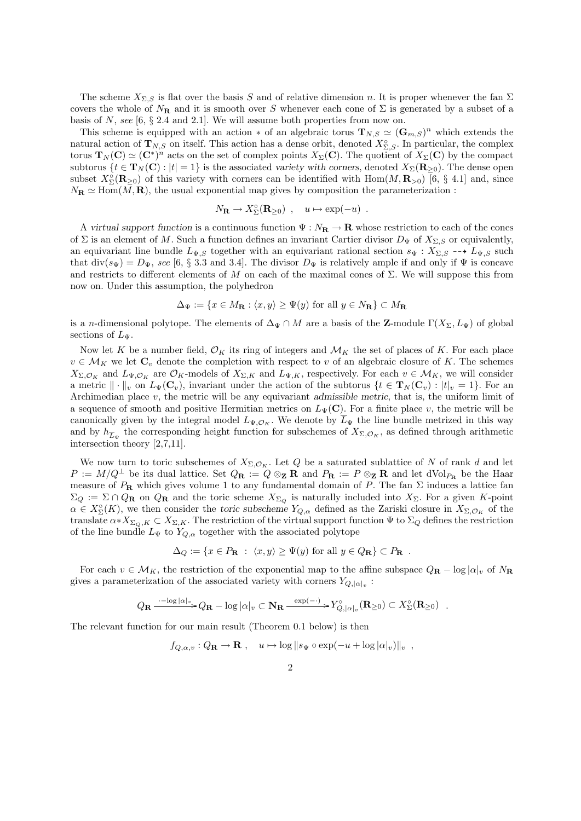The scheme  $X_{\Sigma,S}$  is flat over the basis S and of relative dimension n. It is proper whenever the fan  $\Sigma$ covers the whole of  $N_{\bf R}$  and it is smooth over S whenever each cone of  $\Sigma$  is generated by a subset of a basis of  $N$ , see [6,  $\S$  2.4 and 2.1]. We will assume both properties from now on.

This scheme is equipped with an action  $*$  of an algebraic torus  $\mathbf{T}_{N,S} \simeq (\mathbf{G}_{m,S})^n$  which extends the natural action of  $\mathbf{T}_{N,S}$  on itself. This action has a dense orbit, denoted  $X_{\Sigma,S}^{\circ}$ . In particular, the complex torus  $\mathbf{T}_N(\mathbf{C}) \simeq (\mathbf{C}^*)^n$  acts on the set of complex points  $X_\Sigma(\mathbf{C})$ . The quotient of  $X_\Sigma(\mathbf{C})$  by the compact subtorus  $\{t \in \mathbf{T}_N(\mathbf{C}) : |t| = 1\}$  is the associated variety with corners, denoted  $X_{\Sigma}(\mathbf{R}_{\geq 0})$ . The dense open subset  $X_{\Sigma}^{\circ}(\mathbf{R}_{\geq 0})$  of this variety with corners can be identified with  $\text{Hom}(M,\mathbf{R}_{>0})$  [6, § 4.1] and, since  $N_{\rm R} \simeq \text{Hom}(M, \mathbf{R})$ , the usual exponential map gives by composition the parameterization :

$$
N_{\mathbf{R}} \to X_{\Sigma}^{\circ}(\mathbf{R}_{\geq 0}) \ , \quad u \mapsto \exp(-u) \ .
$$

A virtual support function is a continuous function  $\Psi : N_{\mathbf{R}} \to \mathbf{R}$  whose restriction to each of the cones of  $\Sigma$  is an element of M. Such a function defines an invariant Cartier divisor  $D_{\Psi}$  of  $X_{\Sigma,S}$  or equivalently, an equivariant line bundle  $L_{\Psi,S}$  together with an equivariant rational section  $s_{\Psi}: X_{\Sigma,S} \dashrightarrow L_{\Psi,S}$  such that div( $s_{\Psi}$ ) =  $D_{\Psi}$ , see [6, § 3.3 and 3.4]. The divisor  $D_{\Psi}$  is relatively ample if and only if  $\Psi$  is concave and restricts to different elements of M on each of the maximal cones of  $\Sigma$ . We will suppose this from now on. Under this assumption, the polyhedron

$$
\Delta_{\Psi} := \{ x \in M_{\mathbf{R}} : \langle x, y \rangle \ge \Psi(y) \text{ for all } y \in N_{\mathbf{R}} \} \subset M_{\mathbf{R}}
$$

is a n-dimensional polytope. The elements of  $\Delta_{\Psi} \cap M$  are a basis of the **Z**-module  $\Gamma(X_{\Sigma}, L_{\Psi})$  of global sections of  $L_{\Psi}$ .

Now let K be a number field,  $\mathcal{O}_K$  its ring of integers and  $\mathcal{M}_K$  the set of places of K. For each place  $v \in \mathcal{M}_K$  we let  $\mathbf{C}_v$  denote the completion with respect to v of an algebraic closure of K. The schemes  $X_{\Sigma,\mathcal{O}_K}$  and  $L_{\Psi,\mathcal{O}_K}$  are  $\mathcal{O}_K$ -models of  $X_{\Sigma,K}$  and  $L_{\Psi,K}$ , respectively. For each  $v \in \mathcal{M}_K$ , we will consider a metric  $\|\cdot\|_v$  on  $L_\Psi(\mathbf{C}_v)$ , invariant under the action of the subtorus  $\{t \in \mathbf{T}_N(\mathbf{C}_v) : |t|_v = 1\}$ . For an Archimedian place v, the metric will be any equivariant admissible metric, that is, the uniform limit of a sequence of smooth and positive Hermitian metrics on  $L_{\Psi}(\mathbf{C})$ . For a finite place v, the metric will be canonically given by the integral model  $L_{\Psi, \mathcal{O}_K}$ . We denote by  $\overline{L}_{\Psi}$  the line bundle metrized in this way and by  $h_{\overline{L}_{\Psi}}$  the corresponding height function for subschemes of  $X_{\Sigma,\mathcal{O}_K}$ , as defined through arithmetic intersection theory [2,7,11].

We now turn to toric subschemes of  $X_{\Sigma,\mathcal{O}_K}$ . Let Q be a saturated sublattice of N of rank d and let  $P := M/Q^{\perp}$  be its dual lattice. Set  $Q_{\mathbf{R}} := Q \otimes_{\mathbf{Z}} \mathbf{R}$  and  $P_{\mathbf{R}} := P \otimes_{\mathbf{Z}} \mathbf{R}$  and let dVol<sub>PR</sub> be the Haar measure of  $P_{\mathbf{R}}$  which gives volume 1 to any fundamental domain of P. The fan  $\Sigma$  induces a lattice fan  $\Sigma_Q := \Sigma \cap Q_R$  on  $Q_R$  and the toric scheme  $X_{\Sigma_Q}$  is naturally included into  $X_{\Sigma}$ . For a given K-point  $\alpha \in X_{\Sigma}^{\circ}(K)$ , we then consider the toric subscheme  $Y_{Q,\alpha}$  defined as the Zariski closure in  $X_{\Sigma,\mathcal{O}_K}$  of the translate  $\alpha * X_{\Sigma_O,K} \subset X_{\Sigma,K}$ . The restriction of the virtual support function  $\Psi$  to  $\Sigma_Q$  defines the restriction of the line bundle  $L_{\Psi}$  to  $Y_{Q,\alpha}$  together with the associated polytope

$$
\Delta_Q := \{ x \in P_\mathbf{R} : \langle x, y \rangle \ge \Psi(y) \text{ for all } y \in Q_\mathbf{R} \} \subset P_\mathbf{R} .
$$

For each  $v \in \mathcal{M}_K$ , the restriction of the exponential map to the affine subspace  $Q_{\mathbf{R}} - \log |\alpha|_v$  of  $N_{\mathbf{R}}$ gives a parameterization of the associated variety with corners  $Y_{Q,|\alpha|_v}$ :

$$
Q_{\mathbf{R}} \xrightarrow{\cdot -\log|\alpha|_v} Q_{\mathbf{R}} - \log|\alpha|_v \subset \mathbf{N}_{\mathbf{R}} \xrightarrow{\exp(-\cdot)} Y^{\circ}_{Q, |\alpha|_v}(\mathbf{R}_{\geq 0}) \subset X^{\circ}_{\Sigma}(\mathbf{R}_{\geq 0}) \ .
$$

The relevant function for our main result (Theorem 0.1 below) is then

$$
f_{Q,\alpha,v}: Q_{\mathbf{R}} \to \mathbf{R}
$$
,  $u \mapsto \log ||s_{\Psi} \circ \exp(-u + \log |\alpha|_v) ||_v$ ,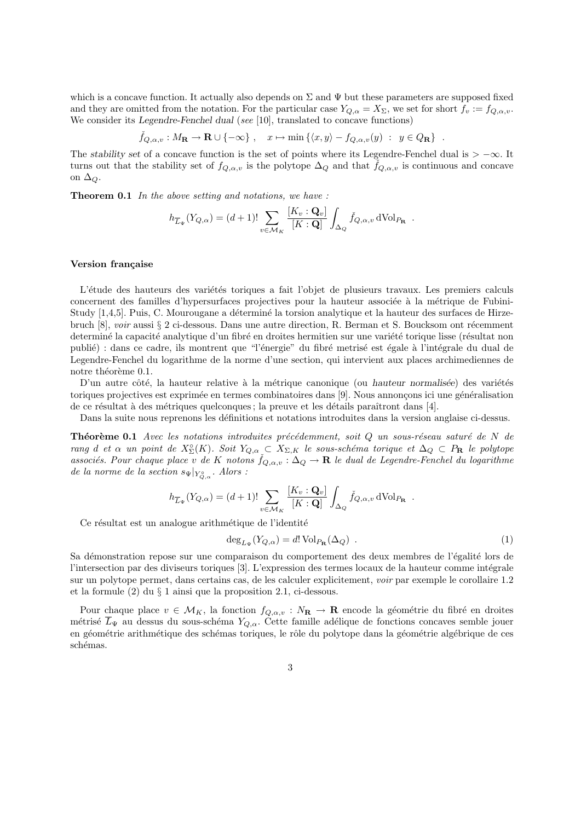which is a concave function. It actually also depends on  $\Sigma$  and  $\Psi$  but these parameters are supposed fixed and they are omitted from the notation. For the particular case  $Y_{Q,\alpha} = X_{\Sigma}$ , we set for short  $f_v := f_{Q,\alpha,v}$ . We consider its Legendre-Fenchel dual (see [10], translated to concave functions)

$$
\check{f}_{Q,\alpha,v}: M_{\mathbf{R}} \to \mathbf{R} \cup \{-\infty\} , \quad x \mapsto \min\left\{ \langle x,y \rangle - f_{Q,\alpha,v}(y) : y \in Q_{\mathbf{R}} \right\} .
$$

The stability set of a concave function is the set of points where its Legendre-Fenchel dual is  $> -\infty$ . It turns out that the stability set of  $f_{Q,\alpha,v}$  is the polytope  $\Delta_Q$  and that  $f_{Q,\alpha,v}$  is continuous and concave on  $\Delta_{\mathcal{O}}$ .

Theorem 0.1 In the above setting and notations, we have :

$$
h_{\overline{L}_{\Psi}}(Y_{Q,\alpha}) = (d+1)! \sum_{v \in \mathcal{M}_K} \frac{[K_v : \mathbf{Q}_v]}{[K : \mathbf{Q}]} \int_{\Delta_Q} \check{f}_{Q,\alpha,v} d\text{Vol}_{P_{\mathbf{R}}}.
$$

## Version française

L'étude des hauteurs des variétés toriques a fait l'objet de plusieurs travaux. Les premiers calculs concernent des familles d'hypersurfaces projectives pour la hauteur associée à la métrique de Fubini-Study [1,4,5]. Puis, C. Mourougane a déterminé la torsion analytique et la hauteur des surfaces de Hirzebruch [8], voir aussi § 2 ci-dessous. Dans une autre direction, R. Berman et S. Boucksom ont récemment determiné la capacité analytique d'un fibré en droites hermitien sur une variété torique lisse (résultat non publié) : dans ce cadre, ils montrent que "l'énergie" du fibré metrisé est égale à l'intégrale du dual de Legendre-Fenchel du logarithme de la norme d'une section, qui intervient aux places archimediennes de notre théorème 0.1.

D'un autre côté, la hauteur relative à la métrique canonique (ou hauteur normalisée) des variétés toriques projectives est exprimée en termes combinatoires dans [9]. Nous annonçons ici une généralisation de ce résultat à des métriques quelconques ; la preuve et les détails paraîtront dans [4].

Dans la suite nous reprenons les définitions et notations introduites dans la version anglaise ci-dessus.

**Théorème 0.1** Avec les notations introduites précédemment, soit  $Q$  un sous-réseau saturé de N de rang d et  $\alpha$  un point de  $X_{\Sigma}^{\circ}(K)$ . Soit  $Y_{Q,\alpha} \subset X_{\Sigma,K}$  le sous-schéma torique et  $\Delta_Q \subset P_R$  le polytope associés. Pour chaque place v de K notons  $\check{f}_{Q,\alpha,v}$ :  $\Delta_Q \to \mathbf{R}$  le dual de Legendre-Fenchel du logarithme de la norme de la section  $s_{\Psi}|_{Y_{Q,\alpha}^{\circ}}$ . Alors :

$$
h_{\overline{L}_{\Psi}}(Y_{Q,\alpha}) = (d+1)! \sum_{v \in \mathcal{M}_K} \frac{[K_v : \mathbf{Q}_v]}{[K : \mathbf{Q}]} \int_{\Delta_Q} \check{f}_{Q,\alpha,v} d\text{Vol}_{P_{\mathbf{R}}}.
$$

Ce résultat est un analogue arithmétique de l'identité

$$
\deg_{L_{\Psi}}(Y_{Q,\alpha}) = d! \operatorname{Vol}_{P_{\mathbf{R}}}(\Delta_Q) . \tag{1}
$$

Sa démonstration repose sur une comparaison du comportement des deux membres de l'égalité lors de l'intersection par des diviseurs toriques [3]. L'expression des termes locaux de la hauteur comme intégrale sur un polytope permet, dans certains cas, de les calculer explicitement, voir par exemple le corollaire 1.2 et la formule (2) du § 1 ainsi que la proposition 2.1, ci-dessous.

Pour chaque place  $v \in \mathcal{M}_K$ , la fonction  $f_{Q,\alpha,v} : N_{\mathbf{R}} \to \mathbf{R}$  encode la géométrie du fibré en droites métrisé  $\overline{L}_{\Psi}$  au dessus du sous-schéma  $Y_{Q,\alpha}$ . Cette famille adélique de fonctions concaves semble jouer en géométrie arithmétique des schémas toriques, le rôle du polytope dans la géométrie algébrique de ces schémas.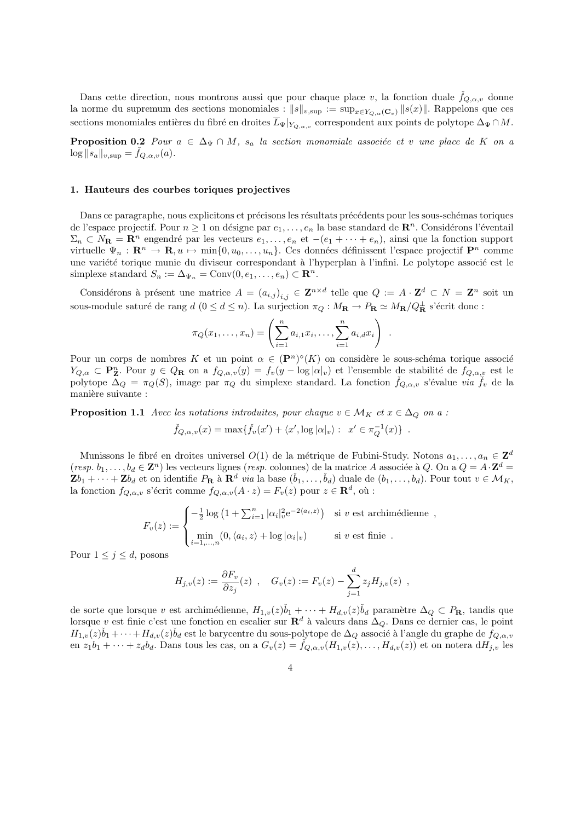Dans cette direction, nous montrons aussi que pour chaque place v, la fonction duale  $f_{Q,\alpha,v}$  donne la norme du supremum des sections monomiales :  $||s||_{v,\text{sup}} := \sup_{x \in Y_{Q,\alpha}(\mathbf{C}_v)} ||s(x)||$ . Rappelons que ces sections monomiales entières du fibré en droites  $\overline{L}_{\Psi}|_{Y_{Q,\alpha,v}}$  correspondent aux points de polytope  $\Delta_{\Psi} \cap M$ .

**Proposition 0.2** Pour  $a \in \Delta_{\Psi} \cap M$ ,  $s_a$  la section monomiale associée et v une place de K on a  $\log ||s_a||_{v,\text{sup}} = \dot{f}_{Q,\alpha,v}(a).$ 

## 1. Hauteurs des courbes toriques projectives

Dans ce paragraphe, nous explicitons et précisons les résultats précédents pour les sous-schémas toriques de l'espace projectif. Pour  $n \geq 1$  on désigne par  $e_1, \ldots, e_n$  la base standard de  $\mathbb{R}^n$ . Considérons l'éventail  $\Sigma_n \subset N_{\mathbf{R}} = \mathbf{R}^n$  engendré par les vecteurs  $e_1, \ldots, e_n$  et  $-(e_1 + \cdots + e_n)$ , ainsi que la fonction support virtuelle  $\Psi_n : \mathbf{R}^n \to \mathbf{R}, u \mapsto \min\{0, u_0, \ldots, u_n\}.$  Ces données définissent l'espace projectif  $\mathbf{P}^n$  comme une variété torique munie du diviseur correspondant à l'hyperplan à l'infini. Le polytope associé est le simplexe standard  $S_n := \Delta_{\Psi_n} = \text{Conv}(0, e_1, \dots, e_n) \subset \mathbb{R}^n$ .

Considérons à présent une matrice  $A = (a_{i,j})_{i,j} \in \mathbf{Z}^{n \times d}$  telle que  $Q := A \cdot \mathbf{Z}^d \subset N = \mathbf{Z}^n$  soit un sous-module saturé de rang  $d$   $(0 \le d \le n)$ . La surjection  $\pi_Q : M_{\mathbf{R}} \to P_{\mathbf{R}} \simeq M_{\mathbf{R}}/Q_{\mathbf{R}}^{\perp}$  s'écrit donc :

$$
\pi_Q(x_1, ..., x_n) = \left( \sum_{i=1}^n a_{i,1} x_i, ..., \sum_{i=1}^n a_{i,d} x_i \right) .
$$

Pour un corps de nombres K et un point  $\alpha \in (\mathbf{P}^n)^{\circ}(K)$  on considère le sous-schéma torique associé  $Y_{Q,\alpha} \subset \mathbf{P}_{\mathbf{Z}}^n$ . Pour  $y \in Q_{\mathbf{R}}$  on a  $f_{Q,\alpha,v}(y) = f_v(y - \log|\alpha|_v)$  et l'ensemble de stabilité de  $f_{Q,\alpha,v}$  est le polytope  $\Delta_Q = \pi_Q(S)$ , image par  $\pi_Q$  du simplexe standard. La fonction  $\check{f}_{Q,\alpha,v}$  s'évalue via  $\check{f}_v$  de la manière suivante :

**Proposition 1.1** Avec les notations introduites, pour chaque  $v \in \mathcal{M}_K$  et  $x \in \Delta_Q$  on a :  $\check{f}_{Q,\alpha,v}(x) = \max{\{\check{f}_v(x') + \langle x', \log |\alpha|_v\}} : x' \in \pi_Q^{-1}(x)\}$ .

Munissons le fibré en droites universel  $O(1)$  de la métrique de Fubini-Study. Notons  $a_1, \ldots, a_n \in \mathbf{Z}^d$  $(resp. b_1, \ldots, b_d \in \mathbf{Z}^n)$  les vecteurs lignes (resp. colonnes) de la matrice A associée à Q. On a  $Q = A \cdot \mathbf{Z}^d =$  $\mathbf{Z}b_1 + \cdots + \mathbf{Z}b_d$  et on identifie  $P_\mathbf{R}$  à  $\mathbf{R}^d$  via la base  $(\check{b}_1, \ldots, \check{b}_d)$  duale de  $(b_1, \ldots, b_d)$ . Pour tout  $v \in \mathcal{M}_K$ , la fonction  $f_{Q,\alpha,v}$  s'écrit comme  $f_{Q,\alpha,v}(A \cdot z) = F_v(z)$  pour  $z \in \mathbf{R}^d$ , où :

$$
F_v(z) := \begin{cases} -\frac{1}{2}\log\left(1 + \sum_{i=1}^n |\alpha_i|_v^2 e^{-2\langle a_i, z\rangle}\right) & \text{si } v \text{ est archimédienne} \\ \min_{i=1,\dots,n} (0, \langle a_i, z\rangle + \log |\alpha_i|_v) & \text{si } v \text{ est finie} \end{cases},
$$

Pour  $1 \leq j \leq d$ , posons

$$
H_{j,v}(z) := \frac{\partial F_v}{\partial z_j}(z) \ , \quad G_v(z) := F_v(z) - \sum_{j=1}^d z_j H_{j,v}(z) \ ,
$$

de sorte que lorsque v est archimédienne,  $H_{1,v}(z)\check{b}_1 + \cdots + H_{d,v}(z)\check{b}_d$  paramètre  $\Delta_Q \subset P_\mathbf{R}$ , tandis que lorsque v est finie c'est une fonction en escalier sur  $\mathbb{R}^d$  à valeurs dans  $\Delta_Q$ . Dans ce dernier cas, le point  $H_{1,v}(z)\check{b}_1+\cdots+H_{d,v}(z)\check{b}_d$  est le barycentre du sous-polytope de  $\Delta_Q$  associé à l'angle du graphe de  $f_{Q,\alpha,v}$ en  $z_1b_1 + \cdots + z_d b_d$ . Dans tous les cas, on a  $G_v(z) = f_{Q,\alpha,v}(H_{1,v}(z), \ldots, H_{d,v}(z))$  et on notera  $dH_{j,v}$  les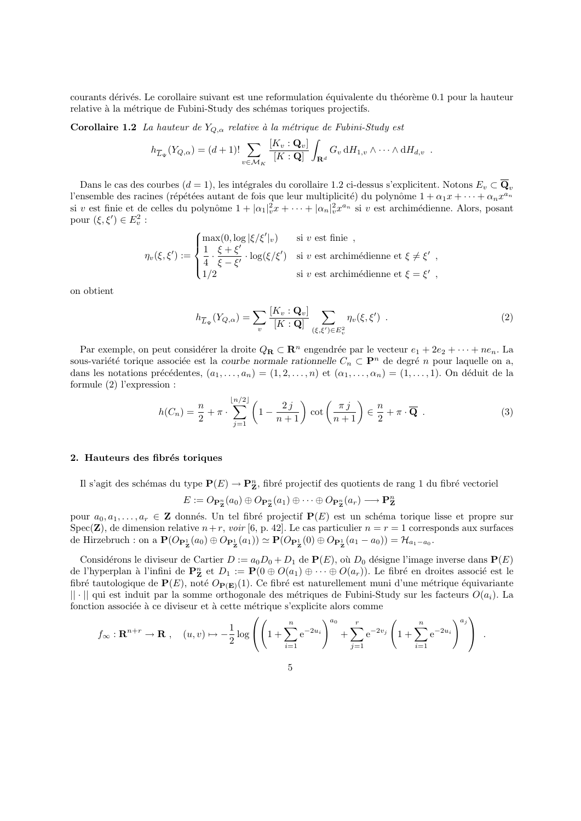courants dérivés. Le corollaire suivant est une reformulation équivalente du théorème 0.1 pour la hauteur relative à la métrique de Fubini-Study des schémas toriques projectifs.

Corollaire 1.2 La hauteur de  $Y_{Q,\alpha}$  relative à la métrique de Fubini-Study est

$$
h_{\overline{L}_{\Psi}}(Y_{Q,\alpha}) = (d+1)! \sum_{v \in \mathcal{M}_K} \frac{[K_v : \mathbf{Q}_v]}{[K : \mathbf{Q}]} \int_{\mathbf{R}^d} G_v \, dH_{1,v} \wedge \cdots \wedge dH_{d,v} .
$$

Dans le cas des courbes  $(d = 1)$ , les intégrales du corollaire 1.2 ci-dessus s'explicitent. Notons  $E_v \subset \overline{\mathbf{Q}}_v$ l'ensemble des racines (répétées autant de fois que leur multiplicité) du polynôme  $1 + \alpha_1 x + \cdots + \alpha_n x^{a_n}$ si v est finie et de celles du polynôme  $1 + |\alpha_1|_v^2 x + \cdots + |\alpha_n|_v^2 x^{a_n}$  si v est archimédienne. Alors, posant pour  $(\xi, \xi') \in E_v^2$ :

$$
\eta_v(\xi,\xi') := \begin{cases} \max(0,\log|\xi/\xi'|_v) & \text{si } v \text{ est finie }, \\ \frac{1}{4} \cdot \frac{\xi+\xi'}{\xi-\xi'} \cdot \log(\xi/\xi') & \text{si } v \text{ est archimédienne et } \xi \neq \xi' , \\ 1/2 & \text{si } v \text{ est archimédienne et } \xi = \xi' , \end{cases}
$$

on obtient

$$
h_{\overline{L}_{\Psi}}(Y_{Q,\alpha}) = \sum_{v} \frac{[K_v : \mathbf{Q}_v]}{[K : \mathbf{Q}]} \sum_{(\xi,\xi') \in E_v^2} \eta_v(\xi,\xi') . \tag{2}
$$

Par exemple, on peut considérer la droite  $Q_{\mathbf{R}} \subset \mathbf{R}^n$  engendrée par le vecteur  $e_1 + 2e_2 + \cdots + n e_n$ . La sous-variété torique associée est la courbe normale rationnelle  $C_n \subset \mathbf{P}^n$  de degré n pour laquelle on a, dans les notations précédentes,  $(a_1, \ldots, a_n) = (1, 2, \ldots, n)$  et  $(\alpha_1, \ldots, \alpha_n) = (1, \ldots, 1)$ . On déduit de la formule (2) l'expression :

$$
h(C_n) = \frac{n}{2} + \pi \cdot \sum_{j=1}^{\lfloor n/2 \rfloor} \left( 1 - \frac{2j}{n+1} \right) \cot \left( \frac{\pi j}{n+1} \right) \in \frac{n}{2} + \pi \cdot \overline{\mathbf{Q}} . \tag{3}
$$

#### 2. Hauteurs des fibrés toriques

Il s'agit des schémas du type  $\mathbf{P}(E) \to \mathbf{P}_{\mathbf{Z}}^n$ , fibré projectif des quotients de rang 1 du fibré vectoriel

$$
E:=O_{\mathbf{P}_{\mathbf{Z}}^n}(a_0)\oplus O_{\mathbf{P}_{\mathbf{Z}}^n}(a_1)\oplus\cdots\oplus O_{\mathbf{P}_{\mathbf{Z}}^n}(a_r)\longrightarrow\mathbf{P}_{\mathbf{Z}}^n
$$

pour  $a_0, a_1, \ldots, a_r \in \mathbb{Z}$  donnés. Un tel fibré projectif  $P(E)$  est un schéma torique lisse et propre sur Spec(Z), de dimension relative  $n+r$ , voir [6, p. 42]. Le cas particulier  $n = r = 1$  corresponds aux surfaces de Hirzebruch : on a  $\mathbf{P}(O_{\mathbf{P}_{\mathbf{Z}}^1}(a_0) \oplus O_{\mathbf{P}_{\mathbf{Z}}^1}(a_1)) \simeq \mathbf{P}(O_{\mathbf{P}_{\mathbf{Z}}^1}(0) \oplus O_{\mathbf{P}_{\mathbf{Z}}^1}(a_1 - a_0)) = \mathcal{H}_{a_1 - a_0}$ .

Considérons le diviseur de Cartier  $D := a_0D_0 + D_1$  de  $P(E)$ , où  $D_0$  désigne l'image inverse dans  $P(E)$ de l'hyperplan à l'infini de  $\mathbf{P}_{\mathbf{Z}}^n$  et  $D_1 := \mathbf{P}(0 \oplus O(a_1) \oplus \cdots \oplus O(a_r))$ . Le fibré en droites associé est le fibré tautologique de  $P(E)$ , noté  $O_{P(E)}(1)$ . Ce fibré est naturellement muni d'une métrique équivariante  $|| \cdot ||$  qui est induit par la somme orthogonale des métriques de Fubini-Study sur les facteurs  $O(a_i)$ . La fonction associée à ce diviseur et à cette métrique s'explicite alors comme

$$
f_{\infty}: \mathbf{R}^{n+r} \to \mathbf{R}
$$
,  $(u, v) \mapsto -\frac{1}{2} \log \left( \left( 1 + \sum_{i=1}^{n} e^{-2u_i} \right)^{a_0} + \sum_{j=1}^{r} e^{-2v_j} \left( 1 + \sum_{i=1}^{n} e^{-2u_i} \right)^{a_j} \right)$ .